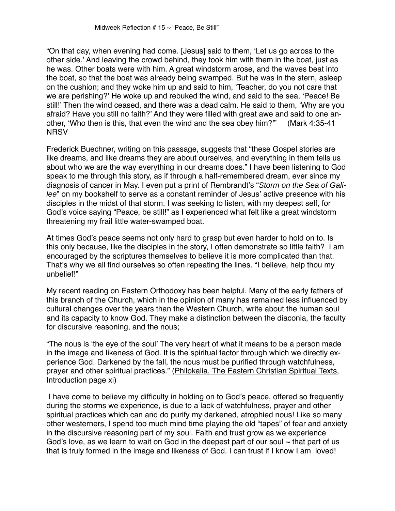"On that day, when evening had come. [Jesus] said to them, 'Let us go across to the other side.' And leaving the crowd behind, they took him with them in the boat, just as he was. Other boats were with him. A great windstorm arose, and the waves beat into the boat, so that the boat was already being swamped. But he was in the stern, asleep on the cushion; and they woke him up and said to him, 'Teacher, do you not care that we are perishing?' He woke up and rebuked the wind, and said to the sea, 'Peace! Be still!' Then the wind ceased, and there was a dead calm. He said to them, 'Why are you afraid? Have you still no faith?' And they were filled with great awe and said to one another, 'Who then is this, that even the wind and the sea obey him?'" (Mark 4:35-41 **NRSV** 

Frederick Buechner, writing on this passage, suggests that "these Gospel stories are like dreams, and like dreams they are about ourselves, and everything in them tells us about who we are the way everything in our dreams does." I have been listening to God speak to me through this story, as if through a half-remembered dream, ever since my diagnosis of cancer in May. I even put a print of Rembrandt's "Storm on the Sea of Galilee" on my bookshelf to serve as a constant reminder of Jesus' active presence with his disciples in the midst of that storm. I was seeking to listen, with my deepest self, for God's voice saying "Peace, be still!" as I experienced what felt like a great windstorm threatening my frail little water-swamped boat.

At times God's peace seems not only hard to grasp but even harder to hold on to. Is this only because, like the disciples in the story, I often demonstrate so little faith? I am encouraged by the scriptures themselves to believe it is more complicated than that. That's why we all find ourselves so often repeating the lines. "I believe, help thou my unbelief!"

My recent reading on Eastern Orthodoxy has been helpful. Many of the early fathers of this branch of the Church, which in the opinion of many has remained less influenced by cultural changes over the years than the Western Church, write about the human soul and its capacity to know God. They make a distinction between the diaconia, the faculty for discursive reasoning, and the nous;

"The nous is 'the eye of the soul' The very heart of what it means to be a person made in the image and likeness of God. It is the spiritual factor through which we directly experience God. Darkened by the fall, the nous must be purified through watchfulness, prayer and other spiritual practices." (Philokalia, The Eastern Christian Spiritual Texts, Introduction page xi)

 I have come to believe my difficulty in holding on to God's peace, offered so frequently during the storms we experience, is due to a lack of watchfulness, prayer and other spiritual practices which can and do purify my darkened, atrophied nous! Like so many other westerners, I spend too much mind time playing the old "tapes" of fear and anxiety in the discursive reasoning part of my soul. Faith and trust grow as we experience God's love, as we learn to wait on God in the deepest part of our soul  $\sim$  that part of us that is truly formed in the image and likeness of God. I can trust if I know I am loved!